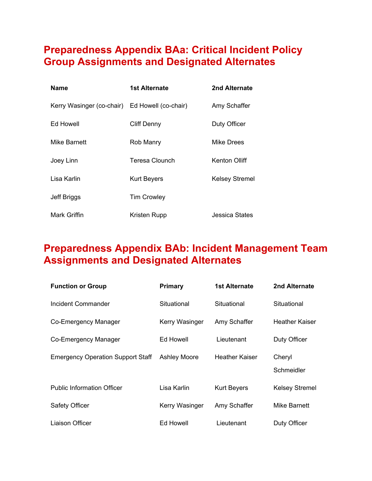## **Preparedness Appendix BAa: Critical Incident Policy Group Assignments and Designated Alternates**

| <b>Name</b>                                    | 1st Alternate      | 2nd Alternate         |
|------------------------------------------------|--------------------|-----------------------|
| Kerry Wasinger (co-chair) Ed Howell (co-chair) |                    | Amy Schaffer          |
| Ed Howell                                      | Cliff Denny        | Duty Officer          |
| Mike Barnett                                   | Rob Manry          | Mike Drees            |
| Joey Linn                                      | Teresa Clounch     | <b>Kenton Olliff</b>  |
| Lisa Karlin                                    | <b>Kurt Beyers</b> | <b>Kelsey Stremel</b> |
| Jeff Briggs                                    | <b>Tim Crowley</b> |                       |
| Mark Griffin                                   | Kristen Rupp       | Jessica States        |

## **Preparedness Appendix BAb: Incident Management Team Assignments and Designated Alternates**

| <b>Function or Group</b>                 | <b>Primary</b>      | 1st Alternate         | 2nd Alternate         |
|------------------------------------------|---------------------|-----------------------|-----------------------|
| Incident Commander                       | Situational         | Situational           | Situational           |
| Co-Emergency Manager                     | Kerry Wasinger      | Amy Schaffer          | Heather Kaiser        |
| Co-Emergency Manager                     | Ed Howell           | Lieutenant            | Duty Officer          |
| <b>Emergency Operation Support Staff</b> | <b>Ashley Moore</b> | <b>Heather Kaiser</b> | Cheryl<br>Schmeidler  |
| <b>Public Information Officer</b>        | Lisa Karlin         | <b>Kurt Beyers</b>    | <b>Kelsey Stremel</b> |
| Safety Officer                           | Kerry Wasinger      | Amy Schaffer          | Mike Barnett          |
| Liaison Officer                          | Ed Howell           | Lieutenant            | Duty Officer          |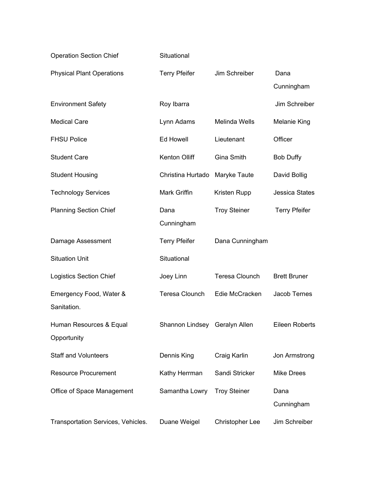| <b>Operation Section Chief</b>         | Situational                   |                       |                       |
|----------------------------------------|-------------------------------|-----------------------|-----------------------|
| <b>Physical Plant Operations</b>       | <b>Terry Pfeifer</b>          | Jim Schreiber         | Dana<br>Cunningham    |
| <b>Environment Safety</b>              | Roy Ibarra                    |                       | Jim Schreiber         |
| <b>Medical Care</b>                    | Lynn Adams                    | Melinda Wells         | <b>Melanie King</b>   |
| <b>FHSU Police</b>                     | Ed Howell                     | Lieutenant            | Officer               |
| <b>Student Care</b>                    | Kenton Olliff                 | Gina Smith            | <b>Bob Duffy</b>      |
| <b>Student Housing</b>                 | Christina Hurtado             | Maryke Taute          | David Bollig          |
| <b>Technology Services</b>             | Mark Griffin                  | Kristen Rupp          | <b>Jessica States</b> |
| <b>Planning Section Chief</b>          | Dana<br>Cunningham            | <b>Troy Steiner</b>   | <b>Terry Pfeifer</b>  |
| Damage Assessment                      | <b>Terry Pfeifer</b>          | Dana Cunningham       |                       |
| <b>Situation Unit</b>                  | Situational                   |                       |                       |
| <b>Logistics Section Chief</b>         | Joey Linn                     | <b>Teresa Clounch</b> | <b>Brett Bruner</b>   |
| Emergency Food, Water &<br>Sanitation. | <b>Teresa Clounch</b>         | Edie McCracken        | Jacob Ternes          |
| Human Resources & Equal<br>Opportunity | Shannon Lindsey Geralyn Allen |                       | Eileen Roberts        |
| <b>Staff and Volunteers</b>            | Dennis King                   | Craig Karlin          | Jon Armstrong         |
| <b>Resource Procurement</b>            | Kathy Herrman                 | Sandi Stricker        | <b>Mike Drees</b>     |
| Office of Space Management             | Samantha Lowry                | <b>Troy Steiner</b>   | Dana<br>Cunningham    |
| Transportation Services, Vehicles.     | Duane Weigel                  | Christopher Lee       | Jim Schreiber         |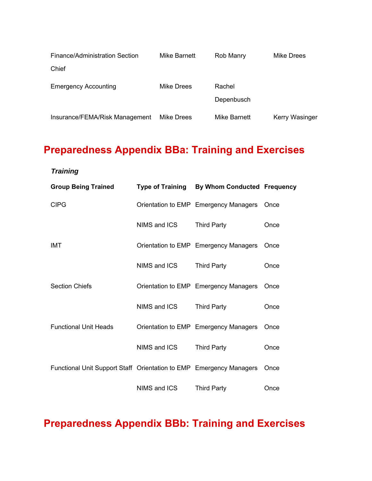| Finance/Administration Section | Mike Barnett | Rob Manry    | Mike Drees            |
|--------------------------------|--------------|--------------|-----------------------|
| Chief                          |              |              |                       |
| <b>Emergency Accounting</b>    | Mike Drees   | Rachel       |                       |
|                                |              | Depenbusch   |                       |
| Insurance/FEMA/Risk Management | Mike Drees   | Mike Barnett | <b>Kerry Wasinger</b> |

# **Preparedness Appendix BBa: Training and Exercises**

*Training*

| <b>Group Being Trained</b>                                          |              | Type of Training By Whom Conducted Frequency |      |
|---------------------------------------------------------------------|--------------|----------------------------------------------|------|
| <b>CIPG</b>                                                         |              | Orientation to EMP Emergency Managers        | Once |
|                                                                     | NIMS and ICS | <b>Third Party</b>                           | Once |
| IMT                                                                 |              | Orientation to EMP Emergency Managers        | Once |
|                                                                     | NIMS and ICS | <b>Third Party</b>                           | Once |
| <b>Section Chiefs</b>                                               |              | Orientation to EMP Emergency Managers        | Once |
|                                                                     | NIMS and ICS | <b>Third Party</b>                           | Once |
| <b>Functional Unit Heads</b>                                        |              | Orientation to EMP Emergency Managers        | Once |
|                                                                     | NIMS and ICS | <b>Third Party</b>                           | Once |
| Functional Unit Support Staff Orientation to EMP Emergency Managers |              |                                              | Once |
|                                                                     | NIMS and ICS | <b>Third Party</b>                           | Once |

**Preparedness Appendix BBb: Training and Exercises**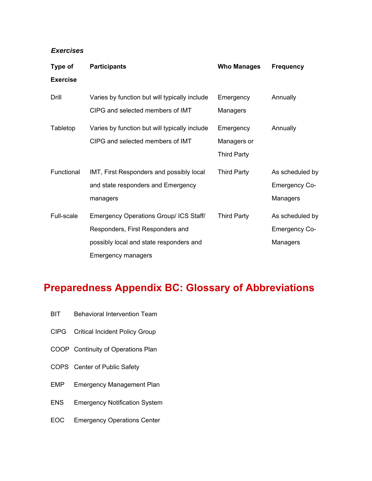#### *Exercises*

| Type of         | <b>Participants</b>                           | <b>Who Manages</b> | <b>Frequency</b>     |
|-----------------|-----------------------------------------------|--------------------|----------------------|
| <b>Exercise</b> |                                               |                    |                      |
| Drill           | Varies by function but will typically include | Emergency          | Annually             |
|                 | CIPG and selected members of IMT              | Managers           |                      |
| Tabletop        | Varies by function but will typically include | Emergency          | Annually             |
|                 | CIPG and selected members of IMT              | Managers or        |                      |
|                 |                                               | <b>Third Party</b> |                      |
| Functional      | IMT, First Responders and possibly local      | <b>Third Party</b> | As scheduled by      |
|                 | and state responders and Emergency            |                    | <b>Emergency Co-</b> |
|                 | managers                                      |                    | Managers             |
| Full-scale      | Emergency Operations Group/ ICS Staff/        | <b>Third Party</b> | As scheduled by      |
|                 | Responders, First Responders and              |                    | <b>Emergency Co-</b> |
|                 | possibly local and state responders and       |                    | Managers             |
|                 | Emergency managers                            |                    |                      |

### **Preparedness Appendix BC: Glossary of Abbreviations**

- BIT Behavioral Intervention Team
- CIPG Critical Incident Policy Group
- COOP Continuity of Operations Plan
- COPS Center of Public Safety
- EMP Emergency Management Plan
- ENS Emergency Notification System
- EOC Emergency Operations Center